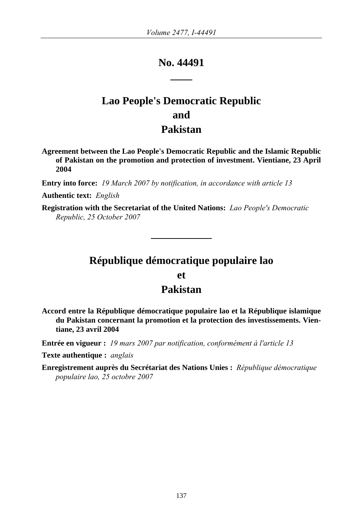# **No. 44491 \_\_\_\_**

# **Lao People's Democratic Republic and Pakistan**

**Agreement between the Lao People's Democratic Republic and the Islamic Republic of Pakistan on the promotion and protection of investment. Vientiane, 23 April 2004** 

**Entry into force:** *19 March 2007 by notification, in accordance with article 13* 

**Authentic text:** *English*

**Registration with the Secretariat of the United Nations:** *Lao People's Democratic Republic, 25 October 2007*

## **République démocratique populaire lao**

### **et**

## **Pakistan**

**Accord entre la République démocratique populaire lao et la République islamique du Pakistan concernant la promotion et la protection des investissements. Vientiane, 23 avril 2004** 

**Entrée en vigueur :** *19 mars 2007 par notification, conformément à l'article 13* 

**Texte authentique :** *anglais*

**Enregistrement auprès du Secrétariat des Nations Unies :** *République démocratique populaire lao, 25 octobre 2007*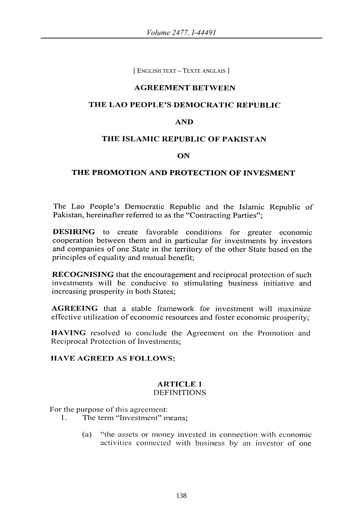[ ENGLISH TEXT – TEXTE ANGLAIS ]

#### AGREEMENT BETWEEN

#### THE LAO PEOPLE'S DEMOCRATIC REPUBLIC

#### AND

#### THE ISLAMIC REPUBLIC OF PAKISTAN

#### ON

#### THE PROMOTION AND PROTECTION OF INVESMENT

The Lao People's Democratic Republic and the Islamic Republic of Pakistan, hereinafter referred to as the "Contracting Parties";

DESIRING to create favorable conditions for greater economic cooperation between them and in particular for investments by investors and companies of one State in the territory of the other State based on the principles of equality and mutual benefit;

RECOGNISING that the encouragement and reciprocal protection of such investments will be conducive to stimulating business initiative and increasing prosperity in both States;

AGREEING that a stable framework for investment will maximize effective utilization of economic resources and foster economic prosperity;

HAVING resolved to conclude the Agreement on the Promotion and Reciprocal Protection of Investments;

#### HA VE AGREED AS FOLLOWS:

## ARTICLE 1

## DEFINITIONS

For the purpose of this agreement:'

- 1. The term "Investment" means;
	- (a) "the assets or money invested in connection with economic activitics connected with business by an investor of one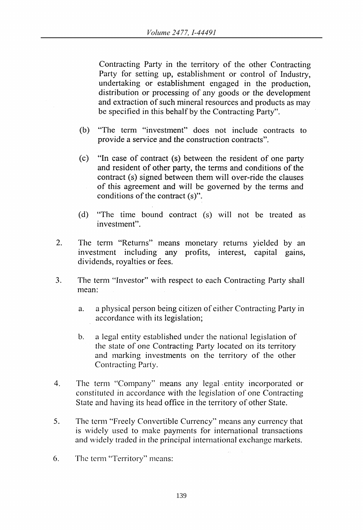Contracting Party in the territory of the other Contracting Party for setting up, establishment or control of Industry, undertaking or establishment engaged in the production, distribution or processing of any goods or the development and extraction of such mineral resources and products as may be specified in this behalf by the Contracting Party".

- (b) "The term "investment" does not include contracts to provide a service and the construction contracts".
- (c) "In case of contract (s) between the resident of one party and resident of other party, the terms and conditions of the contract (s) signed between them will over-ride the clauses of this agreement and will be governed by the terms and conditions of the contract (s)".
- (d) "The time bound contract (s) will not be treated as investment".
- 2. The term "Returns" means monetary returns yielded by an investment including any profits, interest, capital gains, dividends, royalties or fees.
- 3. The term "Investor" with respect to each Contracting Party shall mean:
	- a. a physical person being citizen of either Contracting Party in accordance with its legislation;
	- b. a legal entity established under the national legislation of the state of one Contracting Party located on its territory and marking investments on the territory of the other Contracting Party.
- 4. The term "Company" means any legal entity incorporated or constituted in accordance with the legislation of onc Contracting State and having its head office in the territory of other State.
- 5. Thc term "Freely Convertible Currency" means any currency that is widely used to make payments for international transactions and widely traded in the principal international exchange markets.
- 6. The term "Territory" mcans: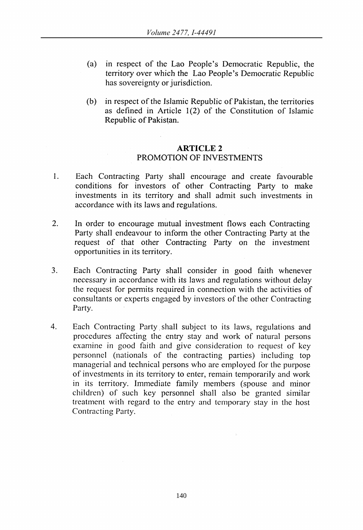- (a) in respect of the Lao People's Democratic Republic, the territory over which the Lao People's Democratic Republic has sovereignty or jurisdiction.
- (b) in respect of the Islamic Republic of Pakistan, the territories as defined in Article  $1(2)$  of the Constitution of Islamic Republic of Pakistan.

#### ARTICLE 2 PROMOTION OF INVESTMENTS

- 1. Each Contracting Party shall encourage and create favourable conditions for investors of other Contracting Party to make investments in its territory and shall admit such investments in accordance with its laws and regulations.
- 2. In order to encourage mutual investment flows each Contracting Party shall endeavour to inform the other Contracting Party at the request of that other Contracting Party on the investment opportunities in its territory.
- 3. Each Contracting Party shall consider in good faith whenever necessary in accordance with its laws and regulations without delay the request for permits required in connection with the activities of consultants or experts engaged by investors of the other Contracting Party.
- 4. Each Contracting Party, shall subject to its Jaws, regulations and procedures affecting the entry stay and work of natural persons examine in good faith and give consideration to request of key personnel (nationals of the contracting parties) including top managerial and technical persons who are employed for the purpose of investments in its territory to enter, remain temporarily and work in its territory. Immediate family members (spouse and minor children) of such key personnel shall also be granted similar treatment with regard to the entry and temporary stay in the host Contracting Party.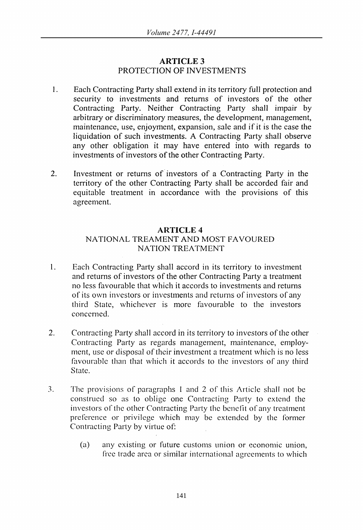## ARTICLE 3 PROTECTION OF INVESTMENTS

- 1. Each Contracting Party shall extend in its territory full protection and security to investments and returns of investors of the other Contracting Party. Neither Contracting Party shall impair by arbitrary or discriminatory measures, the development, management, maintenance, use, enjoyment, expansion, sale and if it is the case the liquidation of such investments. A Contracting Party shall observe any other obligation it may have entered into with regards to investments of investors of the other Contracting Party.
- 2. Investment or returns of investors of a Contracting Party in the territory of the other Contracting Party shall be accorded fair and equitable treatment in accordance with the provisions of this agreement.

#### ARTICLE 4

## NATIONAL TREAMENT AND MOST FAVOURED NATION TREATMENT

- 1. Each Contracting Party shall accord in its territory to investment and returns of investors of the other Contracting Party a treatment no less favourable that which it accords to investments and returns of its own investors or investments and returns of investors of any third State, whichever is more tavourable to the investors concerned.
- 2. Contracting Party shall accord in its territory to investors of the other Contracting Party as regards management, maintenance, employment, use or disposal of their investment a trcatment which is no less favourable than that which it accords to thc investors of any third Statc.
- 3. The provisions of paragraphs 1 and 2 of this Article shall not be construed so as to oblige one Contracting Party to extcnd the investors of the other Contracting Party the benefit of any treatment preference or privilege which may be extended by the former Contracting Party by virtue of:
	- (a) any existing or future customs union or economic union, free trade area or similar international agreements to which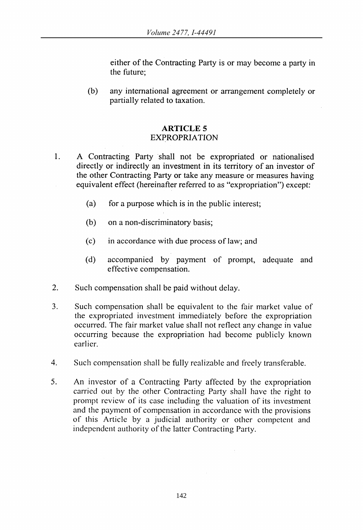either of the Contracting Party is or may become a party in the future;

(b) any international agreement or arrangement completely or partially related to taxation.

#### **ARTICLE** 5 **EXPROPRIATION**

- 1. A Contracting Party shall not be expropriated or nationalised directly or indirectly an investment in its territory of an investor of the other Contracting Party or take any measure or measures having equivalent effect (hereinafter referred to as "expropriation") except:
	- (a) for a purpose which is in the public interest;
	- (b) on a non-discriminatory basis;
	- (c) in accordance with due process of law; and
	- (d) accompanied by payment of prompt, adequate and effective compensation.
- 2. Such compensation shall be paid without delay.
- 3. Such compensation shall be equivalent to the fair market value of the expropriated investment immediately before the expropriation occurred. The fair market value shall not reflect any change in value occurring because the expropriation had become publicly known earlier.
- 4. Such compensation shall be fully realizable and freely transferable.
- 5. An investor of a Contracting Party affected by the expropriation carried out by the other Contracting Party shall have the right to prompt review of its case including the valuation of its investment and the payment of compensation in accordance with the provisions of this Article by a judicial authority or other competent and independent authority of the latter Contracting Party.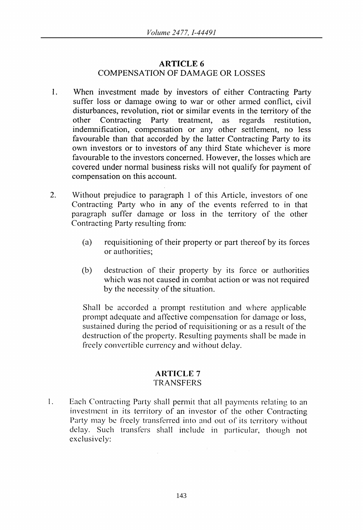## ARTICLE 6 COMPENSATION OF DAMAGE OR LOSSES

- 1. When investment made by investors of either Contracting Party suffer loss or damage owing to war or other armed conflict, civil disturbances, revolution, riot or similar events in the territory of the other Contracting Party treatment. as regards restitution. other Contracting Party treatment, as regards restitution, indenmification, compensation or any other settlement, no less favourable than that accorded by the latter Contracting Party to its own investors or to investors of any third State whichever is more favourable to the investors concerned. However, the losses which are covered under normal business risks will not qualify for payment of compensation on this account.
- 2. Without prejudice to paragraph 1 of this Article, investors of one Contracting Party who in any of the events referred to in that paragraph suffer damage or loss in the territory of the other Contracting Party resulting from:
	- (a) requisitioning of their property or part thereof by its forces or authorities;
	- (b) destruction of their property by its force or authorities which was not caused in combat action or was not required by the necessity of the situation.

Shall be accorded a prompt restitution and whcre applicable prompt adequate and affective compensation for damage or loss, sustained during the period of requisitioning or as a result of the destruction of the property. Resulting payments shall be made in freely convertible currency and without delay.

#### **ARTICLE** 7 TRANSFERS

I. Each Contracting Party shall permit that all payments relating to an investment in its territory of an investor of the other Contracting Party may be freely transferred into and out of its territory without delay. Such transfers shall include in particular, though not exclusively: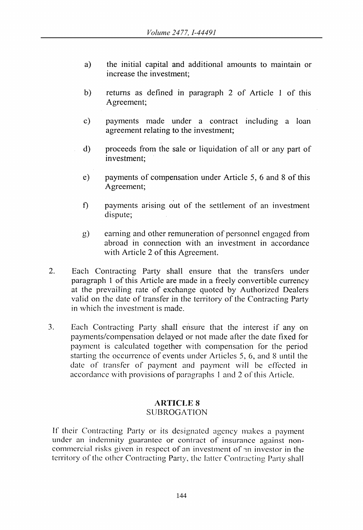- a) the initial capital and additional amounts to maintain or increase the investment;
- b) returns as defined in paragraph 2 of Article 1 of this Agreement;
- c) payments made under a contract including a loan agreement relating to the investment;
- d) proceeds from the sale or liquidation of all or any part of investment;
- e) payments of compensation under Article 5, 6 and 8 of this Agreement;
- f) payments arising out of the settlement of an investment dispute;
- g) earning and other remuneration of personnel engaged from abroad in connection with an investment in accordance with Article 2 of this Agreement.
- 2. Each Contracting Party shall ensure that the transfers under paragraph 1 of this Article are made in a freely convertible currency at the prevailing rate of exchange quoted by Authorized Dealers valid on the date of transfer in the territory of the Contracting Party in which the investment is made.
- 3. Each Contracting Party shall ensure that the interest if any on payments/compensation delayed or not made after the date fixed for payment is calculated together with compensation for the period starting the occurrcnce of events under Articles 5, 6, and 8 until the date of transfer of payment and payment will be effected in accordance with provisions of paragraphs I and 2 of this Article.

#### **ARTICLE** 8 **SUBROGATION**

If their Contracting Party or its designated agency makes a payment under an indemnity guarantee or contract of insurance against noncommcrcial risks given in respect of an investment of om investor in the territory of the other Contracting Party, the latter Contracting Party shall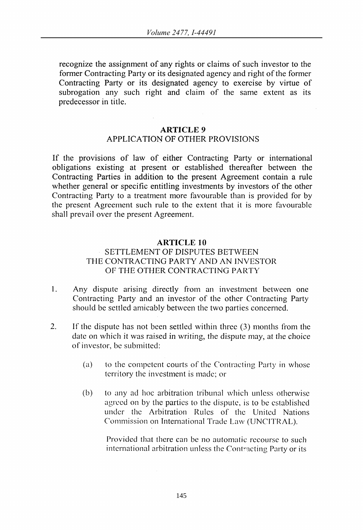recognize the assignment of any rights or claims of such investor to the former Contracting Party or its designated agency and right of the former Contracting Party or its designated agency to exercise by virtue of subrogation any such right and claim of the same extent as its predecessor in title.

#### **ARTICLE** 9

## APPLICA TION OF OTHER PROVISIONS

If the provisions of law of either Contracting Party or international obligations existing at present or established thereafter between the Contracting Parties in addition to the present Agreement contain a rule whether general or specific entitling investments by investors of the other Contracting Party to a treatment more favourable than is provided for by the present Agreement such rule to the extent that it is more favourable shall prevail over the present Agreement.

#### **ARTICLE 10**

#### SETTLEMENT OF DISPUTES BETWEEN THE CONTRACTING PARTY AND AN INVESTOR OF THE OTHER CONTRACTING PARTY

- I. Any dispute arising directly from an investment between onc Contracting Party and an investor of the other Contracting Party should be settled amicably between the two parties concerned.
- 2. If the dispute has not been settled within three (3) months from the date on which it was raised in writing, the dispute may, at the choice of investor, be submitted:
	- (a) to the competent courts of the Contracting Party in whose territory the investment is made; or
	- (b) to any ad hoc arbitration tribunal which unless otherwise agreed on by the parties to the dispute, is to be established under the Arbitration Rules of the United Nations Commission on International Trade Law (UNCITRAL).

Provided that there can be no automatic recourse to such international arbitration unless the Contracting Party or its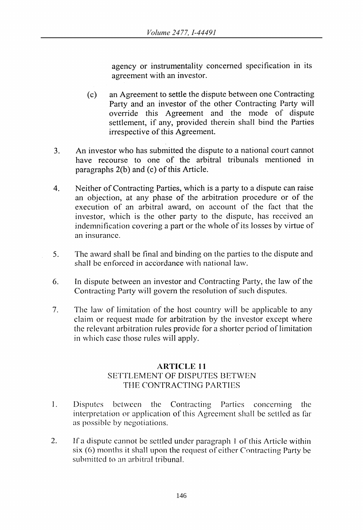agency or instrumentality concerned specification in its agreement with an investor.

- (c) an Agreement to settle the dispute between one Contracting Party and an investor of the other Contracting Party will override this Agreement and the mode of dispute settlement, if any, provided therein shall bind the Parties irrespective of this Agreement.
- 3. An investor who has submitted the dispute to a national court cannot have recourse to one of the arbitral tribunals mentioned in paragraphs 2(b) and (c) of this Article.
- 4. Neither of Contracting Parties, which is a party to a dispute can raise an objection, at any phase of the arbitration procedure or of the execution of an arbitral award, on account of the fact that the investor, which is the other party to the dispute, has received an indemnification covering a part or the whole of its losses by virtue of an insurance.
- 5. The award shall be final and binding on the parties to the dispute and shall be enforced in accordance with national law.
- 6. In dispute between an investor and Contracting Party, the law of the Contracting Party will govern the resolution of such disputes.
- 7. The law of limitation of the host country will be applicable to any claim or request made for arbitration by the investor except where the relevant arbitration rules provide for a shorter period of limitation in which case those rules will apply.

## **ARTICLE 11**  SETTLEMENT OF DISPUTES BETWEN THE CONTRACTING PARTIES

- I. Disputes between the Contracting Parties concerning the interpretation or application of this Agreement shall be settled as far as possible by negotiations.
- 2. If a dispute cannot be settled under paragraph 1 of this Article within  $six(6)$  months it shall upon the request of either Contracting Party be submitted to an arbitral tribunal.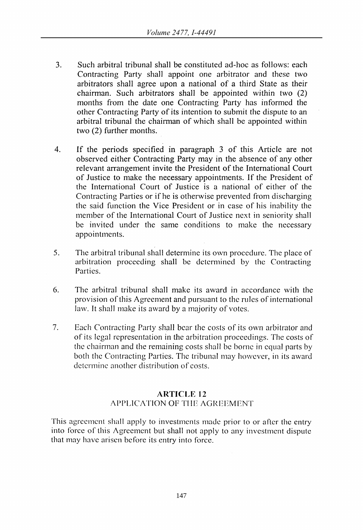- 3. Such arbitral tribunal shall be constituted ad-hoc as follows: each Contracting Party shall appoint one arbitrator and these two arbitrators shall agree upon a national of a third State as their chairman. Such arbitrators shall be appointed within two (2) months from the date one Contracting Party has informed the other Contracting Party of its intention to submit the dispute to an arbitral tribunal the chairman of which shall be appointed within two (2) further months.
- 4. If the periods specified in paragraph 3 of this Article are not observed either Contracting Party may in the absence of any other relevant arrangement invite the President of the International Court of Justice to make the necessary appointments. If the President of the International Court of Justice is a national of either of the Contracting Parties or if he is otherwise prevented from discharging the said function the Vice President or in case of his inability the mcmber of the International Court of Justicc next in seniority shall be invited under the same conditions to make the necessary appointments.
- 5. The arbitral tribunal shall determine its own procedure. The place of arbitration proceeding shall be determined by the Contracting **Parties**.
- 6. Thc arbitral tribunal shall make its award in accordance with the provision of this Agrcement and pursuant to the rules of international Jaw. It shall make its award by a majority of votes.
- 7. Each Contracting Party shall bear the costs of its own arbitrator and of its legal representation in the arbitration proceedings. The costs of the chairman and the remaining costs shall be borne in equal parts by both the Contracting Parties. The tribunal may however, in its award determinc another distribution of costs.

## **ARTICLE 12**  APPLICATION OF TIlE AGREEMENT

This agreement shall apply to investments made prior to or after the entry into force of this Agreement but shall not apply to any investment dispute that may have arisen before its entry into force.